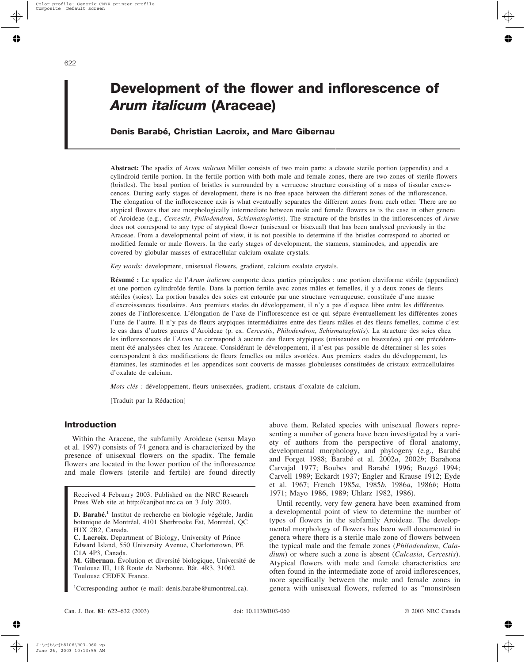# **Development of the flower and inflorescence of** *Arum italicum* **(Araceae)**

# **Denis Barabé, Christian Lacroix, and Marc Gibernau**

**Abstract:** The spadix of *Arum italicum* Miller consists of two main parts: a clavate sterile portion (appendix) and a cylindroid fertile portion. In the fertile portion with both male and female zones, there are two zones of sterile flowers (bristles). The basal portion of bristles is surrounded by a verrucose structure consisting of a mass of tissular excrescences. During early stages of development, there is no free space between the different zones of the inflorescence. The elongation of the inflorescence axis is what eventually separates the different zones from each other. There are no atypical flowers that are morphologically intermediate between male and female flowers as is the case in other genera of Aroideae (e.g., *Cercestis*, *Philodendron*, *Schismatoglottis*). The structure of the bristles in the inflorescences of *Arum* does not correspond to any type of atypical flower (unisexual or bisexual) that has been analysed previously in the Araceae. From a developmental point of view, it is not possible to determine if the bristles correspond to aborted or modified female or male flowers. In the early stages of development, the stamens, staminodes, and appendix are covered by globular masses of extracellular calcium oxalate crystals.

*Key words:* development, unisexual flowers, gradient, calcium oxalate crystals.

**Résumé :** Le spadice de l'*Arum italicum* comporte deux parties principales : une portion claviforme stérile (appendice) et une portion cylindroïde fertile. Dans la portion fertile avec zones mâles et femelles, il y a deux zones de fleurs stériles (soies). La portion basales des soies est entourée par une structure verruqueuse, constituée d'une masse d'excroissances tissulaires. Aux premiers stades du développement, il n'y a pas d'espace libre entre les différentes zones de l'inflorescence. L'élongation de l'axe de l'inflorescence est ce qui sépare éventuellement les différentes zones l'une de l'autre. Il n'y pas de fleurs atypiques intermédiaires entre des fleurs mâles et des fleurs femelles, comme c'est le cas dans d'autres genres d'Aroideae (p. ex. *Cercestis*, *Philodendron*, *Schismataglottis*). La structure des soies chez les inflorescences de l'*Arum* ne correspond à aucune des fleurs atypiques (unisexuées ou bisexuées) qui ont précédemment été analysées chez les Araceae. Considérant le développement, il n'est pas possible de déterminer si les soies correspondent à des modifications de fleurs femelles ou mâles avortées. Aux premiers stades du développement, les étamines, les staminodes et les appendices sont couverts de masses globuleuses constituées de cristaux extracellulaires d'oxalate de calcium.

*Mots clés :* développement, fleurs unisexuées, gradient, cristaux d'oxalate de calcium.

[Traduit par la Rédaction]

## **Introduction**

Within the Araceae, the subfamily Aroideae (sensu Mayo et al. 1997) consists of 74 genera and is characterized by the presence of unisexual flowers on the spadix. The female flowers are located in the lower portion of the inflorescence and male flowers (sterile and fertile) are found directly

Received 4 February 2003. Published on the NRC Research Press Web site at http://canjbot.nrc.ca on 3 July 2003.

**D. Barabé.<sup>1</sup>** Institut de recherche en biologie végétale, Jardin botanique de Montréal, 4101 Sherbrooke Est, Montréal, QC H1X 2B2, Canada.

**C. Lacroix.** Department of Biology, University of Prince Edward Island, 550 University Avenue, Charlottetown, PE C1A 4P3, Canada.

**M. Gibernau.** Évolution et diversité biologique, Université de Toulouse III, 118 Route de Narbonne, Bât. 4R3, 31062 Toulouse CEDEX France.

1 Corresponding author (e-mail: denis.barabe@umontreal.ca).

above them. Related species with unisexual flowers representing a number of genera have been investigated by a variety of authors from the perspective of floral anatomy, developmental morphology, and phylogeny (e.g., Barabé and Forget 1988; Barabé et al. 2002*a*, 2002*b*; Barahona Carvajal 1977; Boubes and Barabé 1996; Buzgó 1994; Carvell 1989; Eckardt 1937; Engler and Krause 1912; Eyde et al. 1967; French 1985*a*, 1985*b*, 1986*a*, 1986*b*; Hotta 1971; Mayo 1986, 1989; Uhlarz 1982, 1986).

Until recently, very few genera have been examined from a developmental point of view to determine the number of types of flowers in the subfamily Aroideae. The developmental morphology of flowers has been well documented in genera where there is a sterile male zone of flowers between the typical male and the female zones (*Philodendron*, *Caladium*) or where such a zone is absent (*Culcasia*, *Cercestis*). Atypical flowers with male and female characteristics are often found in the intermediate zone of aroid inflorescences, more specifically between the male and female zones in genera with unisexual flowers, referred to as "monströsen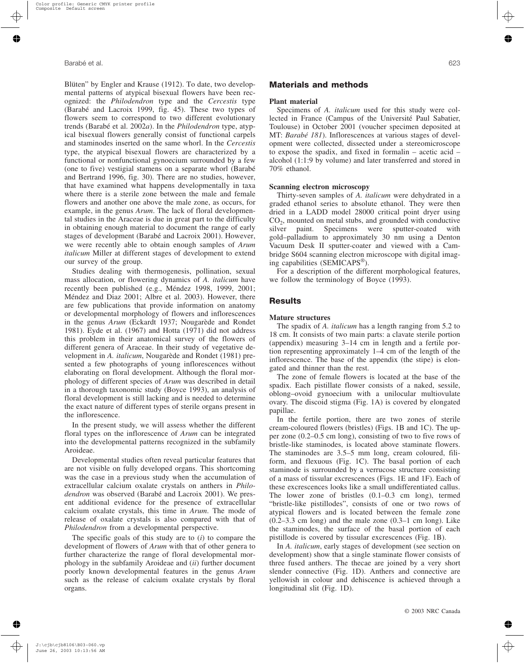Blüten" by Engler and Krause (1912). To date, two developmental patterns of atypical bisexual flowers have been recognized: the *Philodendron* type and the *Cercestis* type (Barabé and Lacroix 1999, fig. 45). These two types of flowers seem to correspond to two different evolutionary trends (Barabé et al. 2002*a*). In the *Philodendron* type, atypical bisexual flowers generally consist of functional carpels and staminodes inserted on the same whorl. In the *Cercestis* type, the atypical bisexual flowers are characterized by a functional or nonfunctional gynoecium surrounded by a few (one to five) vestigial stamens on a separate whorl (Barabé and Bertrand 1996, fig. 30). There are no studies, however, that have examined what happens developmentally in taxa where there is a sterile zone between the male and female flowers and another one above the male zone, as occurs, for example, in the genus *Arum*. The lack of floral developmental studies in the Araceae is due in great part to the difficulty in obtaining enough material to document the range of early stages of development (Barabé and Lacroix 2001). However, we were recently able to obtain enough samples of *Arum italicum* Miller at different stages of development to extend our survey of the group.

Studies dealing with thermogenesis, pollination, sexual mass allocation, or flowering dynamics of *A. italicum* have recently been published (e.g., Méndez 1998, 1999, 2001; Méndez and Diaz 2001; Albre et al. 2003). However, there are few publications that provide information on anatomy or developmental morphology of flowers and inflorescences in the genus *Arum* (Eckardt 1937; Nougarède and Rondet 1981). Eyde et al. (1967) and Hotta (1971) did not address this problem in their anatomical survey of the flowers of different genera of Araceae. In their study of vegetative development in *A. italicum*, Nougarède and Rondet (1981) presented a few photographs of young inflorescences without elaborating on floral development. Although the floral morphology of different species of *Arum* was described in detail in a thorough taxonomic study (Boyce 1993), an analysis of floral development is still lacking and is needed to determine the exact nature of different types of sterile organs present in the inflorescence.

In the present study, we will assess whether the different floral types on the inflorescence of *Arum* can be integrated into the developmental patterns recognized in the subfamily Aroideae.

Developmental studies often reveal particular features that are not visible on fully developed organs. This shortcoming was the case in a previous study when the accumulation of extracellular calcium oxalate crystals on anthers in *Philodendron* was observed (Barabé and Lacroix 2001). We present additional evidence for the presence of extracellular calcium oxalate crystals, this time in *Arum*. The mode of release of oxalate crystals is also compared with that of *Philodendron* from a developmental perspective.

The specific goals of this study are to (*i*) to compare the development of flowers of *Arum* with that of other genera to further characterize the range of floral developmental morphology in the subfamily Aroideae and (*ii*) further document poorly known developmental features in the genus *Arum* such as the release of calcium oxalate crystals by floral organs.

## **Materials and methods**

#### **Plant material**

Specimens of *A. italicum* used for this study were collected in France (Campus of the Université Paul Sabatier, Toulouse) in October 2001 (voucher specimen deposited at MT: *Barabé 181*). Inflorescences at various stages of development were collected, dissected under a stereomicroscope to expose the spadix, and fixed in formalin – acetic acid – alcohol (1:1:9 by volume) and later transferred and stored in 70% ethanol.

#### **Scanning electron microscopy**

Thirty-seven samples of *A. italicum* were dehydrated in a graded ethanol series to absolute ethanol. They were then dried in a LADD model 28000 critical point dryer using  $CO<sub>2</sub>$ , mounted on metal stubs, and grounded with conductive silver paint. Specimens were sputter-coated with gold–palladium to approximately 30 nm using a Denton Vacuum Desk II sputter-coater and viewed with a Cambridge S604 scanning electron microscope with digital imaging capabilities (SEMICAPS®).

For a description of the different morphological features, we follow the terminology of Boyce (1993).

## **Results**

#### **Mature structures**

The spadix of *A. italicum* has a length ranging from 5.2 to 18 cm. It consists of two main parts: a clavate sterile portion (appendix) measuring 3–14 cm in length and a fertile portion representing approximately 1–4 cm of the length of the inflorescence. The base of the appendix (the stipe) is elongated and thinner than the rest.

The zone of female flowers is located at the base of the spadix. Each pistillate flower consists of a naked, sessile, oblong–ovoid gynoecium with a unilocular multiovulate ovary. The discoid stigma (Fig. 1A) is covered by elongated papillae.

In the fertile portion, there are two zones of sterile cream-coloured flowers (bristles) (Figs. 1B and 1C). The upper zone (0.2–0.5 cm long), consisting of two to five rows of bristle-like staminodes, is located above staminate flowers. The staminodes are 3.5–5 mm long, cream coloured, filiform, and flexuous (Fig. 1C). The basal portion of each staminode is surrounded by a verrucose structure consisting of a mass of tissular excrescences (Figs. 1E and 1F). Each of these excrescences looks like a small undifferentiated callus. The lower zone of bristles (0.1–0.3 cm long), termed "bristle-like pistillodes", consists of one or two rows of atypical flowers and is located between the female zone (0.2–3.3 cm long) and the male zone (0.3–1 cm long). Like the staminodes, the surface of the basal portion of each pistillode is covered by tissular excrescences (Fig. 1B).

In *A. italicum*, early stages of development (see section on development) show that a single staminate flower consists of three fused anthers. The thecae are joined by a very short slender connective (Fig. 1D). Anthers and connective are yellowish in colour and dehiscence is achieved through a longitudinal slit (Fig. 1D).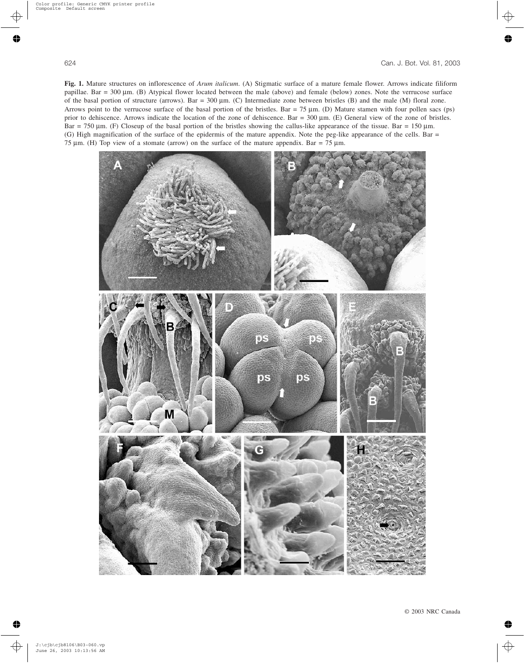**Fig. 1.** Mature structures on inflorescence of *Arum italicum*. (A) Stigmatic surface of a mature female flower. Arrows indicate filiform papillae. Bar = 300 µm. (B) Atypical flower located between the male (above) and female (below) zones. Note the verrucose surface of the basal portion of structure (arrows). Bar =  $300 \mu m$ . (C) Intermediate zone between bristles (B) and the male (M) floral zone. Arrows point to the verrucose surface of the basal portion of the bristles. Bar = 75 µm. (D) Mature stamen with four pollen sacs (ps) prior to dehiscence. Arrows indicate the location of the zone of dehiscence. Bar = 300 µm. (E) General view of the zone of bristles. Bar = 750  $\mu$ m. (F) Closeup of the basal portion of the bristles showing the callus-like appearance of the tissue. Bar = 150  $\mu$ m. (G) High magnification of the surface of the epidermis of the mature appendix. Note the peg-like appearance of the cells. Bar = 75  $\mu$ m. (H) Top view of a stomate (arrow) on the surface of the mature appendix. Bar = 75  $\mu$ m.

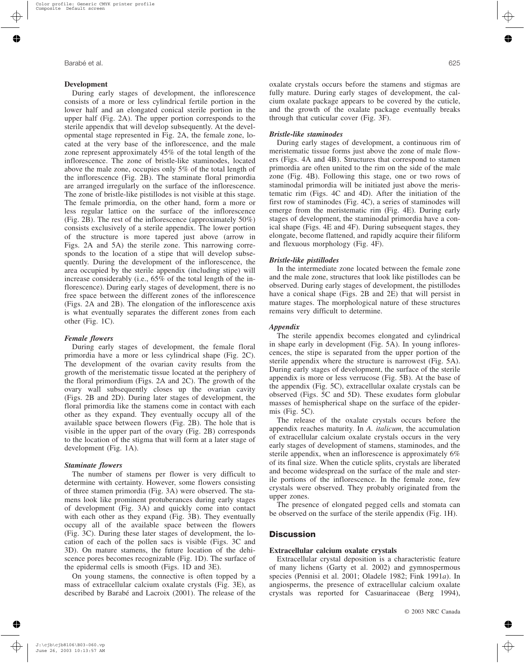#### **Development**

During early stages of development, the inflorescence consists of a more or less cylindrical fertile portion in the lower half and an elongated conical sterile portion in the upper half (Fig. 2A). The upper portion corresponds to the sterile appendix that will develop subsequently. At the developmental stage represented in Fig. 2A, the female zone, located at the very base of the inflorescence, and the male zone represent approximately 45% of the total length of the inflorescence. The zone of bristle-like staminodes, located above the male zone, occupies only 5% of the total length of the inflorescence (Fig. 2B). The staminate floral primordia are arranged irregularly on the surface of the inflorescence. The zone of bristle-like pistillodes is not visible at this stage. The female primordia, on the other hand, form a more or less regular lattice on the surface of the inflorescence (Fig. 2B). The rest of the inflorescence (approximately 50%) consists exclusively of a sterile appendix. The lower portion of the structure is more tapered just above (arrow in Figs. 2A and 5A) the sterile zone. This narrowing corresponds to the location of a stipe that will develop subsequently. During the development of the inflorescence, the area occupied by the sterile appendix (including stipe) will increase considerably (i.e., 65% of the total length of the inflorescence). During early stages of development, there is no free space between the different zones of the inflorescence (Figs. 2A and 2B). The elongation of the inflorescence axis is what eventually separates the different zones from each other (Fig. 1C).

## *Female flowers*

During early stages of development, the female floral primordia have a more or less cylindrical shape (Fig. 2C). The development of the ovarian cavity results from the growth of the meristematic tissue located at the periphery of the floral primordium (Figs. 2A and 2C). The growth of the ovary wall subsequently closes up the ovarian cavity (Figs. 2B and 2D). During later stages of development, the floral primordia like the stamens come in contact with each other as they expand. They eventually occupy all of the available space between flowers (Fig. 2B). The hole that is visible in the upper part of the ovary (Fig. 2B) corresponds to the location of the stigma that will form at a later stage of development (Fig. 1A).

## *Staminate flowers*

The number of stamens per flower is very difficult to determine with certainty. However, some flowers consisting of three stamen primordia (Fig. 3A) were observed. The stamens look like prominent protuberances during early stages of development (Fig. 3A) and quickly come into contact with each other as they expand (Fig. 3B). They eventually occupy all of the available space between the flowers (Fig. 3C). During these later stages of development, the location of each of the pollen sacs is visible (Figs. 3C and 3D). On mature stamens, the future location of the dehiscence pores becomes recognizable (Fig. 1D). The surface of the epidermal cells is smooth (Figs. 1D and 3E).

On young stamens, the connective is often topped by a mass of extracellular calcium oxalate crystals (Fig. 3E), as described by Barabé and Lacroix (2001). The release of the oxalate crystals occurs before the stamens and stigmas are fully mature. During early stages of development, the calcium oxalate package appears to be covered by the cuticle, and the growth of the oxalate package eventually breaks through that cuticular cover (Fig. 3F).

#### *Bristle-like staminodes*

During early stages of development, a continuous rim of meristematic tissue forms just above the zone of male flowers (Figs. 4A and 4B). Structures that correspond to stamen primordia are often united to the rim on the side of the male zone (Fig. 4B). Following this stage, one or two rows of staminodal primordia will be initiated just above the meristematic rim (Figs. 4C and 4D). After the initiation of the first row of staminodes (Fig. 4C), a series of staminodes will emerge from the meristematic rim (Fig. 4E). During early stages of development, the staminodal primordia have a conical shape (Figs. 4E and 4F). During subsequent stages, they elongate, become flattened, and rapidly acquire their filiform and flexuous morphology (Fig. 4F).

#### *Bristle-like pistillodes*

In the intermediate zone located between the female zone and the male zone, structures that look like pistillodes can be observed. During early stages of development, the pistillodes have a conical shape (Figs. 2B and 2E) that will persist in mature stages. The morphological nature of these structures remains very difficult to determine.

#### *Appendix*

The sterile appendix becomes elongated and cylindrical in shape early in development (Fig. 5A). In young inflorescences, the stipe is separated from the upper portion of the sterile appendix where the structure is narrowest (Fig. 5A). During early stages of development, the surface of the sterile appendix is more or less verrucose (Fig. 5B). At the base of the appendix (Fig. 5C), extracellular oxalate crystals can be observed (Figs. 5C and 5D). These exudates form globular masses of hemispherical shape on the surface of the epidermis (Fig. 5C).

The release of the oxalate crystals occurs before the appendix reaches maturity. In *A. italicum*, the accumulation of extracellular calcium oxalate crystals occurs in the very early stages of development of stamens, staminodes, and the sterile appendix, when an inflorescence is approximately 6% of its final size. When the cuticle splits, crystals are liberated and become widespread on the surface of the male and sterile portions of the inflorescence. In the female zone, few crystals were observed. They probably originated from the upper zones.

The presence of elongated pegged cells and stomata can be observed on the surface of the sterile appendix (Fig. 1H).

## **Discussion**

#### **Extracellular calcium oxalate crystals**

Extracellular crystal deposition is a characteristic feature of many lichens (Garty et al. 2002) and gymnospermous species (Pennisi et al. 2001; Oladele 1982; Fink 1991*a*). In angiosperms, the presence of extracellular calcium oxalate crystals was reported for Casuarinaceae (Berg 1994),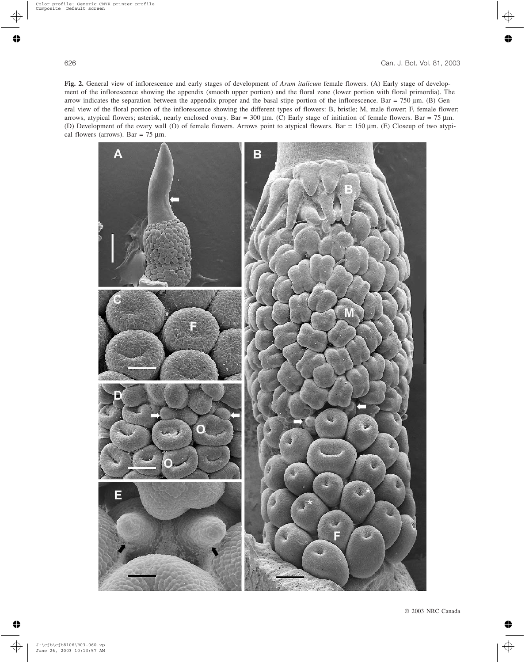**Fig. 2.** General view of inflorescence and early stages of development of *Arum italicum* female flowers. (A) Early stage of development of the inflorescence showing the appendix (smooth upper portion) and the floral zone (lower portion with floral primordia). The arrow indicates the separation between the appendix proper and the basal stipe portion of the inflorescence. Bar = 750 µm. (B) General view of the floral portion of the inflorescence showing the different types of flowers: B, bristle; M, male flower; F, female flower; arrows, atypical flowers; asterisk, nearly enclosed ovary. Bar = 300  $\mu$ m. (C) Early stage of initiation of female flowers. Bar = 75  $\mu$ m. (D) Development of the ovary wall (O) of female flowers. Arrows point to atypical flowers. Bar = 150 µm. (E) Closeup of two atypical flowers (arrows). Bar =  $75 \mu$ m.

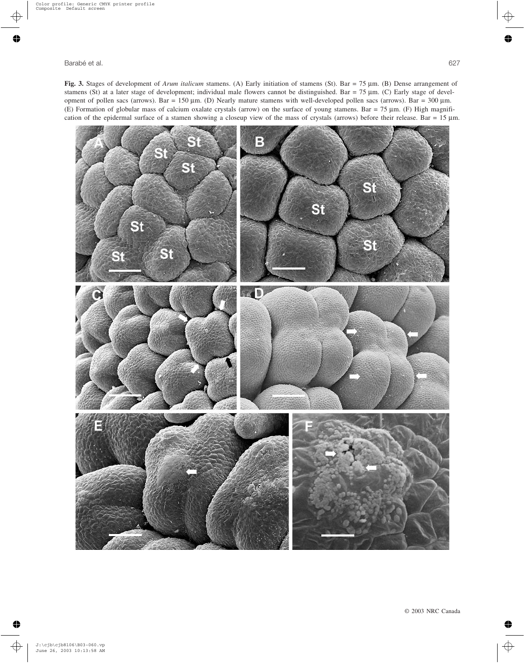**Fig. 3.** Stages of development of *Arum italicum* stamens. (A) Early initiation of stamens (St). Bar = 75 µm. (B) Dense arrangement of stamens (St) at a later stage of development; individual male flowers cannot be distinguished. Bar = 75  $\mu$ m. (C) Early stage of development of pollen sacs (arrows). Bar =  $150 \mu m$ . (D) Nearly mature stamens with well-developed pollen sacs (arrows). Bar =  $300 \mu m$ . (E) Formation of globular mass of calcium oxalate crystals (arrow) on the surface of young stamens. Bar = 75 µm. (F) High magnification of the epidermal surface of a stamen showing a closeup view of the mass of crystals (arrows) before their release. Bar = 15 µm.

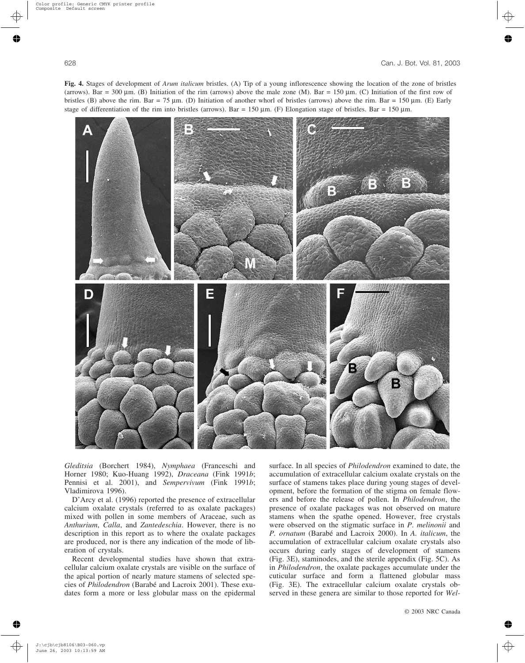**Fig. 4.** Stages of development of *Arum italicum* bristles. (A) Tip of a young inflorescence showing the location of the zone of bristles (arrows). Bar = 300 µm. (B) Initiation of the rim (arrows) above the male zone (M). Bar = 150 µm. (C) Initiation of the first row of bristles (B) above the rim. Bar = 75 µm. (D) Initiation of another whorl of bristles (arrows) above the rim. Bar = 150 µm. (E) Early stage of differentiation of the rim into bristles (arrows). Bar = 150  $\mu$ m. (F) Elongation stage of bristles. Bar = 150  $\mu$ m.



*Gleditsia* (Borchert 1984), *Nymphaea* (Franceschi and Horner 1980; Kuo-Huang 1992), *Draceana* (Fink 1991*b*; Pennisi et al. 2001), and *Sempervivum* (Fink 1991*b*; Vladimirova 1996).

D'Arcy et al. (1996) reported the presence of extracellular calcium oxalate crystals (referred to as oxalate packages) mixed with pollen in some members of Araceae, such as *Anthurium*, *Calla*, and *Zantedeschia*. However, there is no description in this report as to where the oxalate packages are produced, nor is there any indication of the mode of liberation of crystals.

Recent developmental studies have shown that extracellular calcium oxalate crystals are visible on the surface of the apical portion of nearly mature stamens of selected species of *Philodendron* (Barabé and Lacroix 2001). These exudates form a more or less globular mass on the epidermal surface. In all species of *Philodendron* examined to date, the accumulation of extracellular calcium oxalate crystals on the surface of stamens takes place during young stages of development, before the formation of the stigma on female flowers and before the release of pollen. In *Philodendron*, the presence of oxalate packages was not observed on mature stamens when the spathe opened. However, free crystals were observed on the stigmatic surface in *P*. *melinonii* and *P. ornatum* (Barabé and Lacroix 2000). In *A. italicum*, the accumulation of extracellular calcium oxalate crystals also occurs during early stages of development of stamens (Fig. 3E), staminodes, and the sterile appendix (Fig. 5C). As in *Philodendron*, the oxalate packages accumulate under the cuticular surface and form a flattened globular mass (Fig. 3E). The extracellular calcium oxalate crystals observed in these genera are similar to those reported for *Wel-*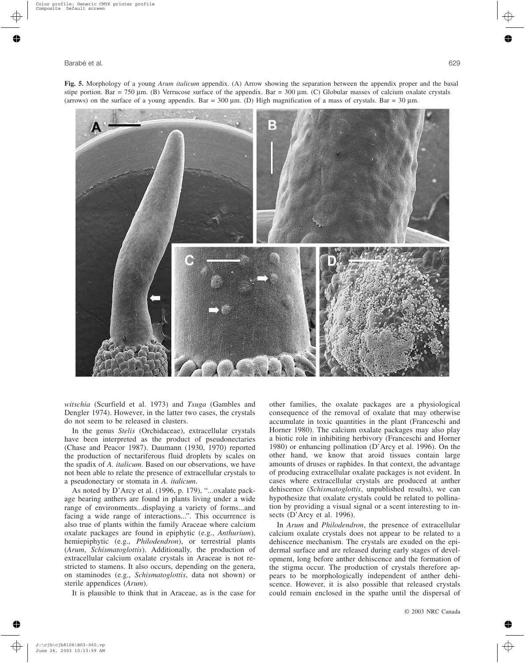**Fig. 5.** Morphology of a young *Arum italicum* appendix. (A) Arrow showing the separation between the appendix proper and the basal stipe portion. Bar = 750 µm. (B) Verrucose surface of the appendix. Bar = 300 µm. (C) Globular masses of calcium oxalate crystals (arrows) on the surface of a young appendix. Bar = 300  $\mu$ m. (D) High magnification of a mass of crystals. Bar = 30  $\mu$ m.



*witschia* (Scurfield et al. 1973) and *Tsuga* (Gambles and Dengler 1974). However, in the latter two cases, the crystals do not seem to be released in clusters.

In the genus *Stelis* (Orchidaceae), extracellular crystals have been interpreted as the product of pseudonectaries (Chase and Peacor 1987). Daumann (1930, 1970) reported the production of nectariferous fluid droplets by scales on the spadix of *A. italicum*. Based on our observations, we have not been able to relate the presence of extracellular crystals to a pseudonectary or stomata in *A. italicum*.

As noted by D'Arcy et al. (1996, p. 179), "...oxalate package bearing anthers are found in plants living under a wide range of environments...displaying a variety of forms...and facing a wide range of interactions...". This occurrence is also true of plants within the family Araceae where calcium oxalate packages are found in epiphytic (e.g., *Anthurium*), hemiepiphytic (e.g., *Philodendron*), or terrestrial plants (*Arum*, *Schismatoglottis*). Additionally, the production of extracellular calcium oxalate crystals in Araceae is not restricted to stamens. It also occurs, depending on the genera, on staminodes (e.g., *Schismatoglottis*, data not shown) or sterile appendices (*Arum*).

It is plausible to think that in Araceae, as is the case for

other families, the oxalate packages are a physiological consequence of the removal of oxalate that may otherwise accumulate in toxic quantities in the plant (Franceschi and Horner 1980). The calcium oxalate packages may also play a biotic role in inhibiting herbivory (Franceschi and Horner 1980) or enhancing pollination (D'Arcy et al. 1996). On the other hand, we know that aroid tissues contain large amounts of druses or raphides. In that context, the advantage of producing extracellular oxalate packages is not evident. In cases where extracellular crystals are produced at anther dehiscence (*Schismatoglottis*, unpublished results), we can hypothesize that oxalate crystals could be related to pollination by providing a visual signal or a scent interesting to insects (D'Arcy et al. 1996).

In *Arum* and *Philodendron*, the presence of extracellular calcium oxalate crystals does not appear to be related to a dehiscence mechanism. The crystals are exuded on the epidermal surface and are released during early stages of development, long before anther dehiscence and the formation of the stigma occur. The production of crystals therefore appears to be morphologically independent of anther dehiscence. However, it is also possible that released crystals could remain enclosed in the spathe until the dispersal of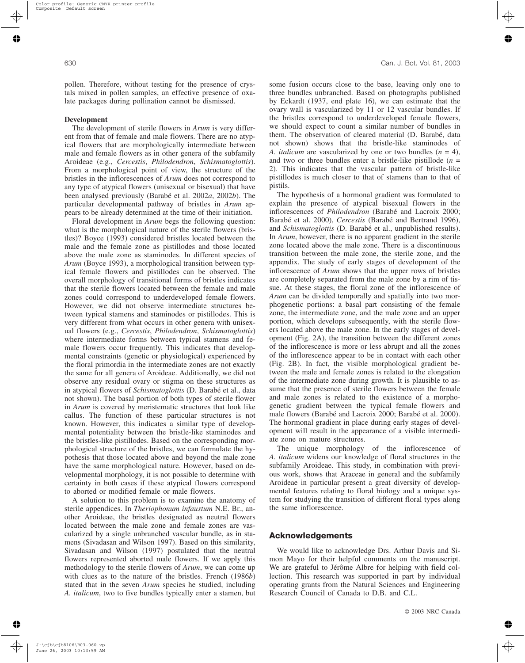pollen. Therefore, without testing for the presence of crystals mixed in pollen samples, an effective presence of oxalate packages during pollination cannot be dismissed.

#### **Development**

The development of sterile flowers in *Arum* is very different from that of female and male flowers. There are no atypical flowers that are morphologically intermediate between male and female flowers as in other genera of the subfamily Aroideae (e.g., *Cercestis*, *Philodendron*, *Schismatoglottis*). From a morphological point of view, the structure of the bristles in the inflorescences of *Arum* does not correspond to any type of atypical flowers (unisexual or bisexual) that have been analysed previously (Barabé et al. 2002*a*, 2002*b*). The particular developmental pathway of bristles in *Arum* appears to be already determined at the time of their initiation.

Floral development in *Arum* begs the following question: what is the morphological nature of the sterile flowers (bristles)? Boyce (1993) considered bristles located between the male and the female zone as pistillodes and those located above the male zone as staminodes. In different species of *Arum* (Boyce 1993), a morphological transition between typical female flowers and pistillodes can be observed. The overall morphology of transitional forms of bristles indicates that the sterile flowers located between the female and male zones could correspond to underdeveloped female flowers. However, we did not observe intermediate structures between typical stamens and staminodes or pistillodes. This is very different from what occurs in other genera with unisexual flowers (e.g., *Cercestis*, *Philodendron*, *Schismatoglottis*) where intermediate forms between typical stamens and female flowers occur frequently. This indicates that developmental constraints (genetic or physiological) experienced by the floral primordia in the intermediate zones are not exactly the same for all genera of Aroideae. Additionally, we did not observe any residual ovary or stigma on these structures as in atypical flowers of *Schismatoglottis* (D. Barabé et al., data not shown). The basal portion of both types of sterile flower in *Arum* is covered by meristematic structures that look like callus. The function of these particular structures is not known. However, this indicates a similar type of developmental potentiality between the bristle-like staminodes and the bristles-like pistillodes. Based on the corresponding morphological structure of the bristles, we can formulate the hypothesis that those located above and beyond the male zone have the same morphological nature. However, based on developmental morphology, it is not possible to determine with certainty in both cases if these atypical flowers correspond to aborted or modified female or male flowers.

A solution to this problem is to examine the anatomy of sterile appendices. In *Theriophonum infaustum* N.E. Br., another Aroideae, the bristles designated as neutral flowers located between the male zone and female zones are vascularized by a single unbranched vascular bundle, as in stamens (Sivadasan and Wilson 1997). Based on this similarity, Sivadasan and Wilson (1997) postulated that the neutral flowers represented aborted male flowers. If we apply this methodology to the sterile flowers of *Arum*, we can come up with clues as to the nature of the bristles. French (1986*b*) stated that in the seven *Arum* species he studied, including *A. italicum*, two to five bundles typically enter a stamen, but some fusion occurs close to the base, leaving only one to three bundles unbranched. Based on photographs published by Eckardt (1937, end plate 16), we can estimate that the ovary wall is vascularized by 11 or 12 vascular bundles. If the bristles correspond to underdeveloped female flowers, we should expect to count a similar number of bundles in them. The observation of cleared material (D. Barabé, data not shown) shows that the bristle-like staminodes of *A. italicum* are vascularized by one or two bundles (*n* = 4), and two or three bundles enter a bristle-like pistillode  $(n =$ 2). This indicates that the vascular pattern of bristle-like pistillodes is much closer to that of stamens than to that of pistils.

The hypothesis of a hormonal gradient was formulated to explain the presence of atypical bisexual flowers in the inflorescences of *Philodendron* (Barabé and Lacroix 2000; Barabé et al. 2000), *Cercestis* (Barabé and Bertrand 1996), and *Schismatoglottis* (D. Barabé et al., unpublished results). In *Arum*, however, there is no apparent gradient in the sterile zone located above the male zone. There is a discontinuous transition between the male zone, the sterile zone, and the appendix. The study of early stages of development of the inflorescence of *Arum* shows that the upper rows of bristles are completely separated from the male zone by a rim of tissue. At these stages, the floral zone of the inflorescence of *Arum* can be divided temporally and spatially into two morphogenetic portions: a basal part consisting of the female zone, the intermediate zone, and the male zone and an upper portion, which develops subsequently, with the sterile flowers located above the male zone. In the early stages of development (Fig. 2A), the transition between the different zones of the inflorescence is more or less abrupt and all the zones of the inflorescence appear to be in contact with each other (Fig. 2B). In fact, the visible morphological gradient between the male and female zones is related to the elongation of the intermediate zone during growth. It is plausible to assume that the presence of sterile flowers between the female and male zones is related to the existence of a morphogenetic gradient between the typical female flowers and male flowers (Barabé and Lacroix 2000; Barabé et al. 2000). The hormonal gradient in place during early stages of development will result in the appearance of a visible intermediate zone on mature structures.

The unique morphology of the inflorescence of *A. italicum* widens our knowledge of floral structures in the subfamily Aroideae. This study, in combination with previous work, shows that Araceae in general and the subfamily Aroideae in particular present a great diversity of developmental features relating to floral biology and a unique system for studying the transition of different floral types along the same inflorescence.

#### **Acknowledgements**

We would like to acknowledge Drs. Arthur Davis and Simon Mayo for their helpful comments on the manuscript. We are grateful to Jérôme Albre for helping with field collection. This research was supported in part by individual operating grants from the Natural Sciences and Engineering Research Council of Canada to D.B. and C.L.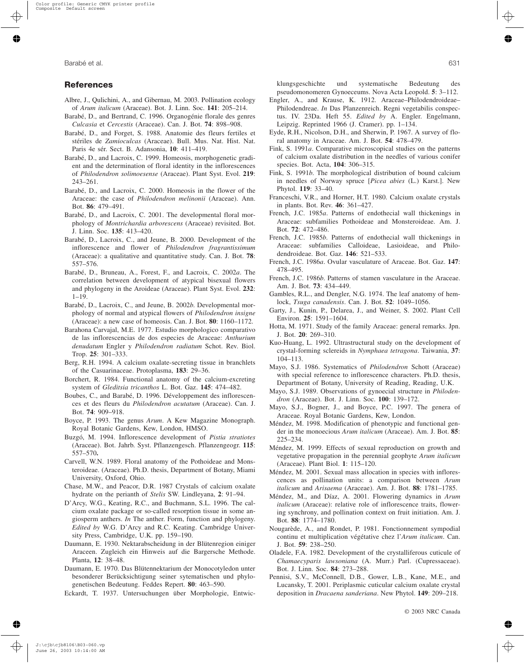## **References**

- Albre, J., Qulichini, A., and Gibernau, M. 2003. Pollination ecology of *Arum italicum* (Araceae). Bot. J. Linn. Soc. **141**: 205–214.
- Barabé, D., and Bertrand, C. 1996. Organogénie florale des genres *Culcasia* et *Cercestis* (Araceae). Can. J. Bot. **74**: 898–908.
- Barabé, D., and Forget, S. 1988. Anatomie des fleurs fertiles et stériles de *Zamioculcas* (Araceae). Bull. Mus. Nat. Hist. Nat. Paris 4e sér. Sect. B. Adansonia, **10**: 411–419.
- Barabé, D., and Lacroix, C. 1999. Homeosis, morphogenetic gradient and the determination of floral identity in the inflorescences of *Philodendron solimoesense* (Araceae). Plant Syst. Evol. **219**: 243–261.
- Barabé, D., and Lacroix, C. 2000. Homeosis in the flower of the Araceae: the case of *Philodendron melinonii* (Araceae). Ann. Bot. **86**: 479–491.
- Barabé, D., and Lacroix, C. 2001. The developmental floral morphology of *Montrichardia arborescens* (Araceae) revisited. Bot. J. Linn. Soc. **135**: 413–420.
- Barabé, D., Lacroix, C., and Jeune, B. 2000. Development of the inflorescence and flower of *Philodendron fragrantissimum* (Araceae): a qualitative and quantitative study. Can. J. Bot. **78**: 557–576.
- Barabé, D., Bruneau, A., Forest, F., and Lacroix, C. 2002*a*. The correlation between development of atypical bisexual flowers and phylogeny in the Aroideae (Araceae). Plant Syst. Evol. **232**: 1–19.
- Barabé, D., Lacroix, C., and Jeune, B. 2002*b*. Developmental morphology of normal and atypical flowers of *Philodendron insigne* (Araceae): a new case of homeosis. Can. J. Bot. **80**: 1160–1172.
- Barahona Carvajal, M.E. 1977. Estudio morphologico comparativo de las inflorescencias de dos especies de Araceae: *Anthurium denudatum* Engler y *Philodendron radiatum* Schot. Rev. Biol. Trop. **25**: 301–333.
- Berg, R.H. 1994. A calcium oxalate-secreting tissue in branchlets of the Casuarinaceae. Protoplasma, **183**: 29–36.
- Borchert, R. 1984. Functional anatomy of the calcium-excreting system of *Gleditsia tricanthos* L. Bot. Gaz. **145**: 474–482.
- Boubes, C., and Barabé, D. 1996. Développement des inflorescences et des fleurs du *Philodendron acutatum* (Araceae). Can. J. Bot. **74**: 909–918.
- Boyce, P. 1993. The genus *Arum*. A Kew Magazine Monograph. Royal Botanic Gardens, Kew, London, HMSO.
- Buzgó, M. 1994. Inflorescence development of *Pistia stratiotes* (Araceae). Bot. Jahrb. Syst. Pflanzengesch. Pflanzengeogr. **115**: 557–570**.**
- Carvell, W.N. 1989. Floral anatomy of the Pothoideae and Monsteroideae. (Araceae). Ph.D. thesis, Department of Botany, Miami University, Oxford, Ohio.
- Chase, M.W., and Peacor, D.R. 1987 Crystals of calcium oxalate hydrate on the perianth of *Stelis* SW. Lindleyana, **2**: 91–94.
- D'Arcy, W.G., Keating, R.C., and Buchmann, S.L. 1996. The calcium oxalate package or so-called resorption tissue in some angiosperm anthers. *In* The anther. Form, function and phylogeny. *Edited by* W.G. D'Arcy and R.C. Keating. Cambridge University Press, Cambridge, U.K. pp. 159–190.
- Daumann, E. 1930. Nektarabscheidung in der Blütenregion einiger Araceen. Zugleich ein Hinweis auf die Bargersche Methode. Planta, **12**: 38–48.
- Daumann, E. 1970. Das Blütennektarium der Monocotyledon unter besonderer Berücksichtigung seiner sytematischen und phylogenetischen Bedeutung. Feddes Repert. **80**: 463–590.
- Eckardt, T. 1937. Untersuchungen über Morphologie, Entwic-

klungsgeschichte und systematische Bedeutung des pseudomonomeren Gynoeceums. Nova Acta Leopold. **5**: 3–112.

- Engler, A., and Krause, K. 1912. Araceae–Philodendroideae– Philodendreae. *In* Das Planzenreich. Regni vegetabilis conspectus. IV. 23Da. Heft 55. *Edited by* A. Engler. Engelmann, Leipzig. Reprinted 1966 (J. Cramer). pp. 1–134.
- Eyde, R.H., Nicolson, D.H., and Sherwin, P. 1967. A survey of floral anatomy in Araceae. Am. J. Bot. **54**: 478–479.
- Fink, S. 1991*a*. Comparative microscopical studies on the patterns of calcium oxalate distribution in the needles of various conifer species. Bot. Acta, **104**: 306–315.
- Fink, S. 1991*b*. The morphological distribution of bound calcium in needles of Norway spruce [*Picea abies* (L.) Karst.]. New Phytol. **119**: 33–40.
- Franceschi, V.R., and Horner, H.T. 1980. Calcium oxalate crystals in plants. Bot. Rev. **46**: 361–427.
- French, J.C. 1985*a*. Patterns of endothecial wall thickenings in Araceae: subfamilies Pothoideae and Monsteroideae. Am. J. Bot. **72**: 472–486.
- French, J.C. 1985*b*. Patterns of endothecial wall thickenings in Araceae: subfamilies Calloideae, Lasioideae, and Philodendroideae. Bot. Gaz. **146**: 521–533.
- French, J.C. 1986*a*. Ovular vasculature of Araceae. Bot. Gaz. **147**: 478–495.
- French, J.C. 1986*b*. Patterns of stamen vasculature in the Araceae. Am. J. Bot. **73**: 434–449.
- Gambles, R.L., and Dengler, N.G. 1974. The leaf anatomy of hemlock, *Tsuga canadensis*. Can. J. Bot. **52**: 1049–1056.
- Garty, J., Kunin, P., Delarea, J., and Weiner, S. 2002. Plant Cell Environ. **25**: 1591–1604.
- Hotta, M. 1971. Study of the family Araceae: general remarks. Jpn. J. Bot. **20**: 269–310.
- Kuo-Huang, L. 1992. Ultrastructural study on the development of crystal-forming sclereids in *Nymphaea tetragona*. Taiwania, **37**: 104–113.
- Mayo, S.J. 1986. Systematics of *Philodendron* Schott (Araceae) with special reference to inflorescence characters. Ph.D. thesis, Department of Botany, University of Reading, Reading, U.K.
- Mayo, S.J. 1989. Observations of gynoecial structure in *Philodendron* (Araceae). Bot. J. Linn. Soc. **100**: 139–172.
- Mayo, S.J., Bogner, J., and Boyce, P.C. 1997. The genera of Araceae. Royal Botanic Gardens, Kew, London.
- Méndez, M. 1998. Modification of phenotypic and functional gender in the monoecious *Arum italicum* (Araceae). Am. J. Bot. **85**: 225–234.
- Méndez, M. 1999. Effects of sexual reproduction on growth and vegetative propagation in the perennial geophyte *Arum italicum* (Araceae). Plant Biol. **1**: 115–120.
- Méndez, M. 2001. Sexual mass allocation in species with inflorescences as pollination units: a comparison between *Arum italicum* and *Arisaema* (Araceae). Am. J. Bot. **88**: 1781–1785.
- Méndez, M., and Díaz, A. 2001. Flowering dynamics in *Arum italicum* (Araceae): relative role of inflorescence traits, flowering synchrony, and pollination context on fruit initiation. Am. J. Bot. **88**: 1774–1780.
- Nougarède, A., and Rondet, P. 1981. Fonctionnement sympodial continu et multiplication végétative chez l'*Arum italicum*. Can. J. Bot. **59**: 238–250.
- Oladele, F.A. 1982. Development of the crystalliferous cuticule of *Chamaecyparis lawsoniana* (A. Murr.) Parl. (Cupressaceae). Bot. J. Linn. Soc. **84**: 273–288.
- Pennisi, S.V., McConnell, D.B., Gower, L.B., Kane, M.E., and Lucansky, T. 2001. Periplasmic cuticular calcium oxalate crystal deposition in *Dracaena sanderiana*. New Phytol. **149**: 209–218.